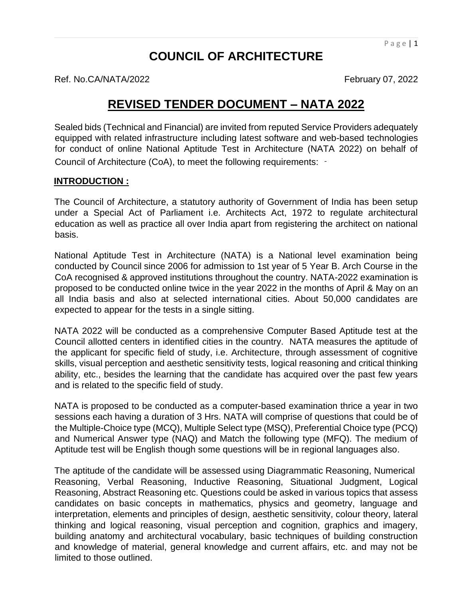# **COUNCIL OF ARCHITECTURE**

Ref. No.CA/NATA/2022 **February 07, 2022** 

**REVISED TENDER DOCUMENT – NATA 2022**

Sealed bids (Technical and Financial) are invited from reputed Service Providers adequately equipped with related infrastructure including latest software and web-based technologies for conduct of online National Aptitude Test in Architecture (NATA 2022) on behalf of Council of Architecture (CoA), to meet the following requirements: ‐

#### **INTRODUCTION :**

The Council of Architecture, a statutory authority of Government of India has been setup under a Special Act of Parliament i.e. Architects Act, 1972 to regulate architectural education as well as practice all over India apart from registering the architect on national basis.

National Aptitude Test in Architecture (NATA) is a National level examination being conducted by Council since 2006 for admission to 1st year of 5 Year B. Arch Course in the CoA recognised & approved institutions throughout the country. NATA-2022 examination is proposed to be conducted online twice in the year 2022 in the months of April & May on an all India basis and also at selected international cities. About 50,000 candidates are expected to appear for the tests in a single sitting.

NATA 2022 will be conducted as a comprehensive Computer Based Aptitude test at the Council allotted centers in identified cities in the country. NATA measures the aptitude of the applicant for specific field of study, i.e. Architecture, through assessment of cognitive skills, visual perception and aesthetic sensitivity tests, logical reasoning and critical thinking ability, etc., besides the learning that the candidate has acquired over the past few years and is related to the specific field of study.

NATA is proposed to be conducted as a computer-based examination thrice a year in two sessions each having a duration of 3 Hrs. NATA will comprise of questions that could be of the Multiple-Choice type (MCQ), Multiple Select type (MSQ), Preferential Choice type (PCQ) and Numerical Answer type (NAQ) and Match the following type (MFQ). The medium of Aptitude test will be English though some questions will be in regional languages also.

The aptitude of the candidate will be assessed using Diagrammatic Reasoning, Numerical Reasoning, Verbal Reasoning, Inductive Reasoning, Situational Judgment, Logical Reasoning, Abstract Reasoning etc. Questions could be asked in various topics that assess candidates on basic concepts in mathematics, physics and geometry, language and interpretation, elements and principles of design, aesthetic sensitivity, colour theory, lateral thinking and logical reasoning, visual perception and cognition, graphics and imagery, building anatomy and architectural vocabulary, basic techniques of building construction and knowledge of material, general knowledge and current affairs, etc. and may not be limited to those outlined.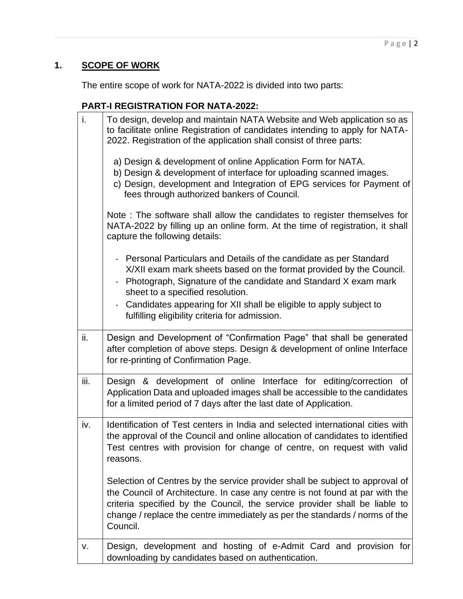# **1. SCOPE OF WORK**

The entire scope of work for NATA-2022 is divided into two parts:

## **PART-I REGISTRATION FOR NATA-2022:**

| i.   | To design, develop and maintain NATA Website and Web application so as<br>to facilitate online Registration of candidates intending to apply for NATA-<br>2022. Registration of the application shall consist of three parts:                                                                                                                                                                                 |
|------|---------------------------------------------------------------------------------------------------------------------------------------------------------------------------------------------------------------------------------------------------------------------------------------------------------------------------------------------------------------------------------------------------------------|
|      | a) Design & development of online Application Form for NATA.<br>b) Design & development of interface for uploading scanned images.<br>c) Design, development and Integration of EPG services for Payment of<br>fees through authorized bankers of Council.                                                                                                                                                    |
|      | Note: The software shall allow the candidates to register themselves for<br>NATA-2022 by filling up an online form. At the time of registration, it shall<br>capture the following details:                                                                                                                                                                                                                   |
|      | - Personal Particulars and Details of the candidate as per Standard<br>X/XII exam mark sheets based on the format provided by the Council.<br>Photograph, Signature of the candidate and Standard X exam mark<br>$\blacksquare$<br>sheet to a specified resolution.<br>Candidates appearing for XII shall be eligible to apply subject to<br>$\blacksquare$<br>fulfilling eligibility criteria for admission. |
| ii.  | Design and Development of "Confirmation Page" that shall be generated<br>after completion of above steps. Design & development of online Interface<br>for re-printing of Confirmation Page.                                                                                                                                                                                                                   |
| iii. | Design & development of online Interface for editing/correction of<br>Application Data and uploaded images shall be accessible to the candidates<br>for a limited period of 7 days after the last date of Application.                                                                                                                                                                                        |
| iv.  | Identification of Test centers in India and selected international cities with<br>the approval of the Council and online allocation of candidates to identified<br>Test centres with provision for change of centre, on request with valid<br>reasons.                                                                                                                                                        |
|      | Selection of Centres by the service provider shall be subject to approval of<br>the Council of Architecture. In case any centre is not found at par with the<br>criteria specified by the Council, the service provider shall be liable to<br>change / replace the centre immediately as per the standards / norms of the<br>Council.                                                                         |
| v.   | Design, development and hosting of e-Admit Card and provision for<br>downloading by candidates based on authentication.                                                                                                                                                                                                                                                                                       |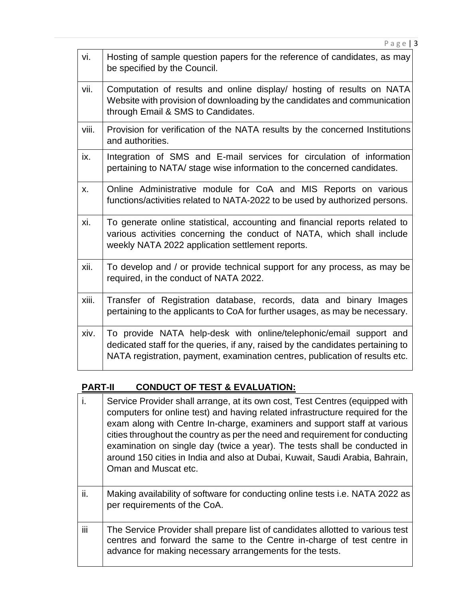|       | Page   $3$                                                                                                                                                                                                                            |
|-------|---------------------------------------------------------------------------------------------------------------------------------------------------------------------------------------------------------------------------------------|
| vi.   | Hosting of sample question papers for the reference of candidates, as may<br>be specified by the Council.                                                                                                                             |
| vii.  | Computation of results and online display/ hosting of results on NATA<br>Website with provision of downloading by the candidates and communication<br>through Email & SMS to Candidates.                                              |
| viii. | Provision for verification of the NATA results by the concerned Institutions<br>and authorities.                                                                                                                                      |
| ix.   | Integration of SMS and E-mail services for circulation of information<br>pertaining to NATA/ stage wise information to the concerned candidates.                                                                                      |
| X.    | Online Administrative module for CoA and MIS Reports on various<br>functions/activities related to NATA-2022 to be used by authorized persons.                                                                                        |
| xi.   | To generate online statistical, accounting and financial reports related to<br>various activities concerning the conduct of NATA, which shall include<br>weekly NATA 2022 application settlement reports.                             |
| xii.  | To develop and / or provide technical support for any process, as may be<br>required, in the conduct of NATA 2022.                                                                                                                    |
| xiii. | Transfer of Registration database, records, data and binary Images<br>pertaining to the applicants to CoA for further usages, as may be necessary.                                                                                    |
| xiv.  | To provide NATA help-desk with online/telephonic/email support and<br>dedicated staff for the queries, if any, raised by the candidates pertaining to<br>NATA registration, payment, examination centres, publication of results etc. |

### **PART-II CONDUCT OF TEST & EVALUATION:**

| j.  | Service Provider shall arrange, at its own cost, Test Centres (equipped with<br>computers for online test) and having related infrastructure required for the<br>exam along with Centre In-charge, examiners and support staff at various<br>cities throughout the country as per the need and requirement for conducting<br>examination on single day (twice a year). The tests shall be conducted in<br>around 150 cities in India and also at Dubai, Kuwait, Saudi Arabia, Bahrain,<br>Oman and Muscat etc. |
|-----|----------------------------------------------------------------------------------------------------------------------------------------------------------------------------------------------------------------------------------------------------------------------------------------------------------------------------------------------------------------------------------------------------------------------------------------------------------------------------------------------------------------|
| ii. | Making availability of software for conducting online tests i.e. NATA 2022 as<br>per requirements of the CoA.                                                                                                                                                                                                                                                                                                                                                                                                  |
| iii | The Service Provider shall prepare list of candidates allotted to various test<br>centres and forward the same to the Centre in-charge of test centre in<br>advance for making necessary arrangements for the tests.                                                                                                                                                                                                                                                                                           |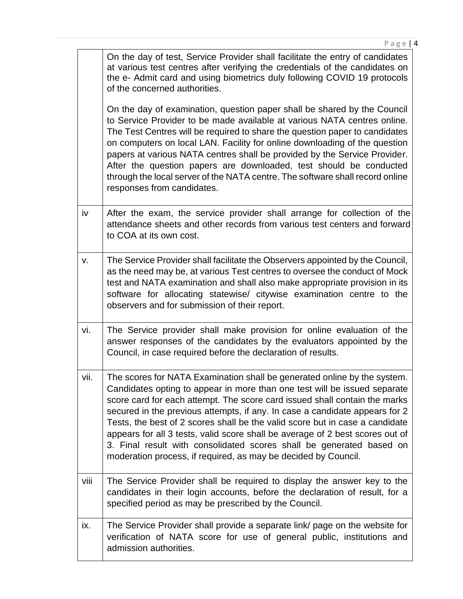|      | On the day of test, Service Provider shall facilitate the entry of candidates<br>at various test centres after verifying the credentials of the candidates on<br>the e- Admit card and using biometrics duly following COVID 19 protocols<br>of the concerned authorities.                                                                                                                                                                                                                                                                                                                                                    |
|------|-------------------------------------------------------------------------------------------------------------------------------------------------------------------------------------------------------------------------------------------------------------------------------------------------------------------------------------------------------------------------------------------------------------------------------------------------------------------------------------------------------------------------------------------------------------------------------------------------------------------------------|
|      | On the day of examination, question paper shall be shared by the Council<br>to Service Provider to be made available at various NATA centres online.<br>The Test Centres will be required to share the question paper to candidates<br>on computers on local LAN. Facility for online downloading of the question<br>papers at various NATA centres shall be provided by the Service Provider.<br>After the question papers are downloaded, test should be conducted<br>through the local server of the NATA centre. The software shall record online<br>responses from candidates.                                           |
| iv   | After the exam, the service provider shall arrange for collection of the<br>attendance sheets and other records from various test centers and forward<br>to COA at its own cost.                                                                                                                                                                                                                                                                                                                                                                                                                                              |
| v.   | The Service Provider shall facilitate the Observers appointed by the Council,<br>as the need may be, at various Test centres to oversee the conduct of Mock<br>test and NATA examination and shall also make appropriate provision in its<br>software for allocating statewise/ citywise examination centre to the<br>observers and for submission of their report.                                                                                                                                                                                                                                                           |
| vi.  | The Service provider shall make provision for online evaluation of the<br>answer responses of the candidates by the evaluators appointed by the<br>Council, in case required before the declaration of results.                                                                                                                                                                                                                                                                                                                                                                                                               |
| vii. | The scores for NATA Examination shall be generated online by the system.<br>Candidates opting to appear in more than one test will be issued separate<br>score card for each attempt. The score card issued shall contain the marks<br>secured in the previous attempts, if any. In case a candidate appears for 2<br>Tests, the best of 2 scores shall be the valid score but in case a candidate<br>appears for all 3 tests, valid score shall be average of 2 best scores out of<br>3. Final result with consolidated scores shall be generated based on<br>moderation process, if required, as may be decided by Council. |
| viii | The Service Provider shall be required to display the answer key to the<br>candidates in their login accounts, before the declaration of result, for a<br>specified period as may be prescribed by the Council.                                                                                                                                                                                                                                                                                                                                                                                                               |
| ix.  | The Service Provider shall provide a separate link/ page on the website for<br>verification of NATA score for use of general public, institutions and<br>admission authorities.                                                                                                                                                                                                                                                                                                                                                                                                                                               |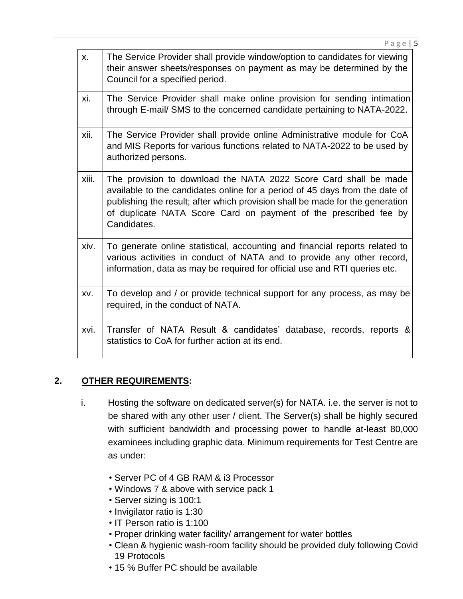| <b>X.</b> | The Service Provider shall provide window/option to candidates for viewing<br>their answer sheets/responses on payment as may be determined by the<br>Council for a specified period.                                                                                                                               |
|-----------|---------------------------------------------------------------------------------------------------------------------------------------------------------------------------------------------------------------------------------------------------------------------------------------------------------------------|
| xi.       | The Service Provider shall make online provision for sending intimation<br>through E-mail/ SMS to the concerned candidate pertaining to NATA-2022.                                                                                                                                                                  |
| xii.      | The Service Provider shall provide online Administrative module for CoA<br>and MIS Reports for various functions related to NATA-2022 to be used by<br>authorized persons.                                                                                                                                          |
| xiii.     | The provision to download the NATA 2022 Score Card shall be made<br>available to the candidates online for a period of 45 days from the date of<br>publishing the result; after which provision shall be made for the generation<br>of duplicate NATA Score Card on payment of the prescribed fee by<br>Candidates. |
| xiv.      | To generate online statistical, accounting and financial reports related to<br>various activities in conduct of NATA and to provide any other record,<br>information, data as may be required for official use and RTI queries etc.                                                                                 |
| XV.       | To develop and / or provide technical support for any process, as may be<br>required, in the conduct of NATA.                                                                                                                                                                                                       |
| xvi.      | Transfer of NATA Result & candidates' database, records, reports &<br>statistics to CoA for further action at its end.                                                                                                                                                                                              |

P a g e | 5

### **2. OTHER REQUIREMENTS:**

- i. Hosting the software on dedicated server(s) for NATA. i.e. the server is not to be shared with any other user / client. The Server(s) shall be highly secured with sufficient bandwidth and processing power to handle at-least 80,000 examinees including graphic data. Minimum requirements for Test Centre are as under:
	- Server PC of 4 GB RAM & i3 Processor
	- Windows 7 & above with service pack 1
	- Server sizing is 100:1
	- Invigilator ratio is 1:30
	- IT Person ratio is 1:100
	- Proper drinking water facility/ arrangement for water bottles
	- Clean & hygienic wash-room facility should be provided duly following Covid 19 Protocols
	- 15 % Buffer PC should be available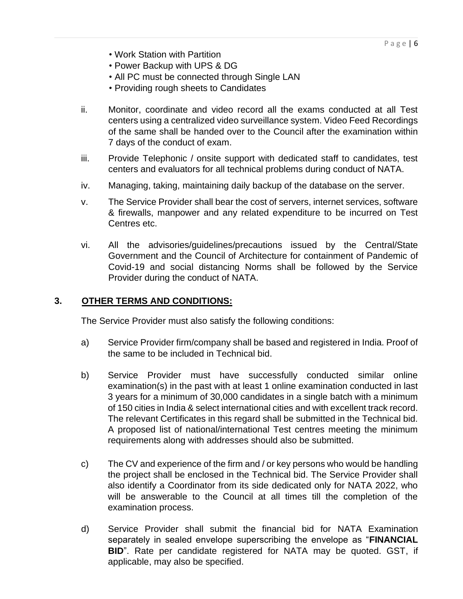- Work Station with Partition
- Power Backup with UPS & DG
- All PC must be connected through Single LAN
- Providing rough sheets to Candidates
- ii. Monitor, coordinate and video record all the exams conducted at all Test centers using a centralized video surveillance system. Video Feed Recordings of the same shall be handed over to the Council after the examination within 7 days of the conduct of exam.
- iii. Provide Telephonic / onsite support with dedicated staff to candidates, test centers and evaluators for all technical problems during conduct of NATA.
- iv. Managing, taking, maintaining daily backup of the database on the server.
- v. The Service Provider shall bear the cost of servers, internet services, software & firewalls, manpower and any related expenditure to be incurred on Test Centres etc.
- vi. All the advisories/guidelines/precautions issued by the Central/State Government and the Council of Architecture for containment of Pandemic of Covid-19 and social distancing Norms shall be followed by the Service Provider during the conduct of NATA.

#### **3. OTHER TERMS AND CONDITIONS:**

The Service Provider must also satisfy the following conditions:

- a) Service Provider firm/company shall be based and registered in India. Proof of the same to be included in Technical bid.
- b) Service Provider must have successfully conducted similar online examination(s) in the past with at least 1 online examination conducted in last 3 years for a minimum of 30,000 candidates in a single batch with a minimum of 150 cities in India & select international cities and with excellent track record. The relevant Certificates in this regard shall be submitted in the Technical bid. A proposed list of national/international Test centres meeting the minimum requirements along with addresses should also be submitted.
- c) The CV and experience of the firm and / or key persons who would be handling the project shall be enclosed in the Technical bid. The Service Provider shall also identify a Coordinator from its side dedicated only for NATA 2022, who will be answerable to the Council at all times till the completion of the examination process.
- d) Service Provider shall submit the financial bid for NATA Examination separately in sealed envelope superscribing the envelope as "**FINANCIAL BID**". Rate per candidate registered for NATA may be quoted. GST, if applicable, may also be specified.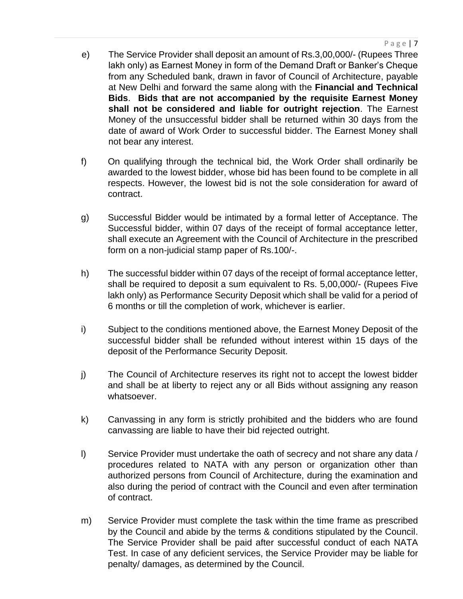- e) The Service Provider shall deposit an amount of Rs.3,00,000/- (Rupees Three lakh only) as Earnest Money in form of the Demand Draft or Banker's Cheque from any Scheduled bank, drawn in favor of Council of Architecture, payable at New Delhi and forward the same along with the **Financial and Technical Bids**. **Bids that are not accompanied by the requisite Earnest Money shall not be considered and liable for outright rejection**. The Earnest Money of the unsuccessful bidder shall be returned within 30 days from the date of award of Work Order to successful bidder. The Earnest Money shall not bear any interest.
- f) On qualifying through the technical bid, the Work Order shall ordinarily be awarded to the lowest bidder, whose bid has been found to be complete in all respects. However, the lowest bid is not the sole consideration for award of contract.
- g) Successful Bidder would be intimated by a formal letter of Acceptance. The Successful bidder, within 07 days of the receipt of formal acceptance letter, shall execute an Agreement with the Council of Architecture in the prescribed form on a non-judicial stamp paper of Rs.100/-.
- h) The successful bidder within 07 days of the receipt of formal acceptance letter, shall be required to deposit a sum equivalent to Rs. 5,00,000/- (Rupees Five lakh only) as Performance Security Deposit which shall be valid for a period of 6 months or till the completion of work, whichever is earlier.
- i) Subject to the conditions mentioned above, the Earnest Money Deposit of the successful bidder shall be refunded without interest within 15 days of the deposit of the Performance Security Deposit.
- j) The Council of Architecture reserves its right not to accept the lowest bidder and shall be at liberty to reject any or all Bids without assigning any reason whatsoever.
- k) Canvassing in any form is strictly prohibited and the bidders who are found canvassing are liable to have their bid rejected outright.
- l) Service Provider must undertake the oath of secrecy and not share any data / procedures related to NATA with any person or organization other than authorized persons from Council of Architecture, during the examination and also during the period of contract with the Council and even after termination of contract.
- m) Service Provider must complete the task within the time frame as prescribed by the Council and abide by the terms & conditions stipulated by the Council. The Service Provider shall be paid after successful conduct of each NATA Test. In case of any deficient services, the Service Provider may be liable for penalty/ damages, as determined by the Council.